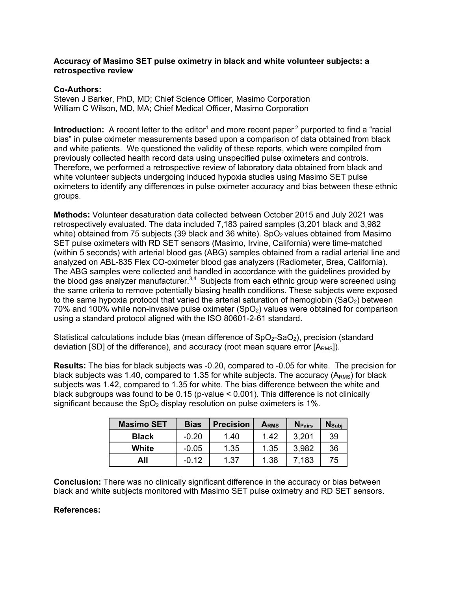## **Accuracy of Masimo SET pulse oximetry in black and white volunteer subjects: a retrospective review**

## **Co-Authors:**

Steven J Barker, PhD, MD; Chief Science Officer, Masimo Corporation William C Wilson, MD, MA; Chief Medical Officer, Masimo Corporation

**Introduction:** A recent letter to the editor<sup>1</sup> and more recent paper<sup>2</sup> purported to find a "racial bias" in pulse oximeter measurements based upon a comparison of data obtained from black and white patients. We questioned the validity of these reports, which were compiled from previously collected health record data using unspecified pulse oximeters and controls. Therefore, we performed a retrospective review of laboratory data obtained from black and white volunteer subjects undergoing induced hypoxia studies using Masimo SET pulse oximeters to identify any differences in pulse oximeter accuracy and bias between these ethnic groups.

**Methods:** Volunteer desaturation data collected between October 2015 and July 2021 was retrospectively evaluated. The data included 7,183 paired samples (3,201 black and 3,982 white) obtained from 75 subjects (39 black and 36 white).  $SpO<sub>2</sub>$  values obtained from Masimo SET pulse oximeters with RD SET sensors (Masimo, Irvine, California) were time-matched (within 5 seconds) with arterial blood gas (ABG) samples obtained from a radial arterial line and analyzed on ABL-835 Flex CO-oximeter blood gas analyzers (Radiometer, Brea, California). The ABG samples were collected and handled in accordance with the guidelines provided by the blood gas analyzer manufacturer.  $3,4$  Subjects from each ethnic group were screened using the same criteria to remove potentially biasing health conditions. These subjects were exposed to the same hypoxia protocol that varied the arterial saturation of hemoglobin  $(SaO<sub>2</sub>)$  between  $70\%$  and 100% while non-invasive pulse oximeter  $(SpO<sub>2</sub>)$  values were obtained for comparison using a standard protocol aligned with the ISO 80601-2-61 standard.

Statistical calculations include bias (mean difference of  $SpO<sub>2</sub>-SaO<sub>2</sub>$ ), precision (standard deviation  $[SD]$  of the difference), and accuracy (root mean square error  $[A<sub>RMS</sub>]$ ).

**Results:** The bias for black subjects was -0.20, compared to -0.05 for white. The precision for black subjects was 1.40, compared to 1.35 for white subjects. The accuracy  $(A<sub>RMS</sub>)$  for black subjects was 1.42, compared to 1.35 for white. The bias difference between the white and black subgroups was found to be 0.15 (p-value < 0.001). This difference is not clinically significant because the  $SpO<sub>2</sub>$  display resolution on pulse oximeters is 1%.

| <b>Masimo SET</b> | <b>Bias</b> | <b>Precision</b> | ARMS | <b>N</b> Pairs | $N_{Subi}$ |
|-------------------|-------------|------------------|------|----------------|------------|
| <b>Black</b>      | $-0.20$     | 1.40             | 1.42 | 3,201          | 39         |
| White             | $-0.05$     | 1.35             | 1.35 | 3,982          | 36         |
| All               | -0.12       | 1.37             | 1.38 | 7,183          | 75         |

**Conclusion:** There was no clinically significant difference in the accuracy or bias between black and white subjects monitored with Masimo SET pulse oximetry and RD SET sensors.

## **References:**